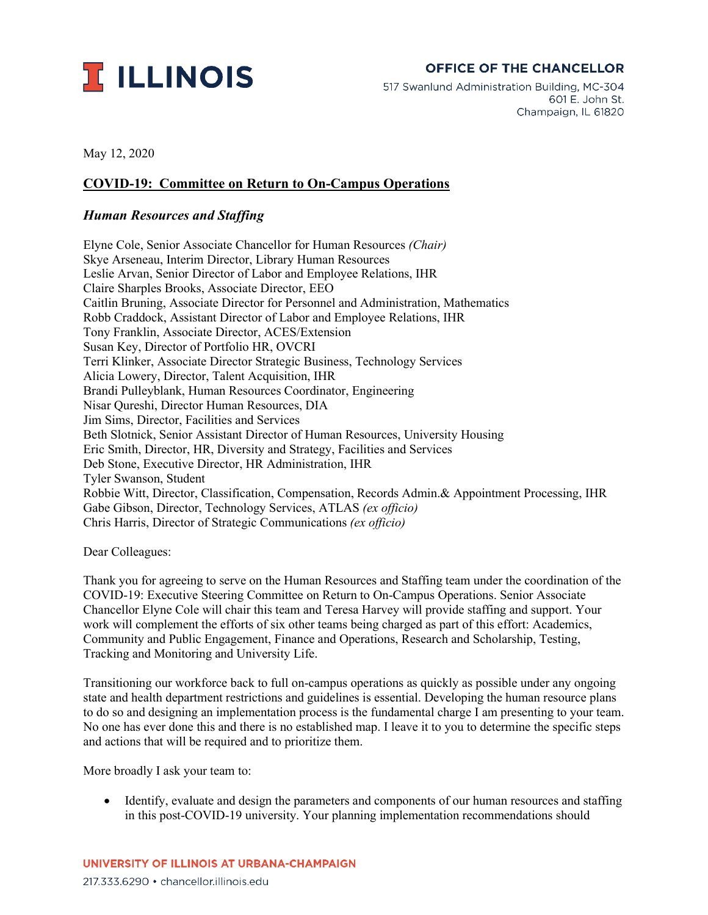

## **OFFICE OF THE CHANCELLOR**

517 Swanlund Administration Building, MC-304 601 E. John St. Champaign, IL 61820

May 12, 2020

## **COVID-19: Committee on Return to On-Campus Operations**

## *Human Resources and Staffing*

Elyne Cole, Senior Associate Chancellor for Human Resources *(Chair)* Skye Arseneau, Interim Director, Library Human Resources Leslie Arvan, Senior Director of Labor and Employee Relations, IHR Claire Sharples Brooks, Associate Director, EEO Caitlin Bruning, Associate Director for Personnel and Administration, Mathematics Robb Craddock, Assistant Director of Labor and Employee Relations, IHR Tony Franklin, Associate Director, ACES/Extension Susan Key, Director of Portfolio HR, OVCRI Terri Klinker, Associate Director Strategic Business, Technology Services Alicia Lowery, Director, Talent Acquisition, IHR Brandi Pulleyblank, Human Resources Coordinator, Engineering Nisar Qureshi, Director Human Resources, DIA Jim Sims, Director, Facilities and Services Beth Slotnick, Senior Assistant Director of Human Resources, University Housing Eric Smith, Director, HR, Diversity and Strategy, Facilities and Services Deb Stone, Executive Director, HR Administration, IHR Tyler Swanson, Student Robbie Witt, Director, Classification, Compensation, Records Admin.& Appointment Processing, IHR Gabe Gibson, Director, Technology Services, ATLAS *(ex officio)* Chris Harris, Director of Strategic Communications *(ex officio)*

Dear Colleagues:

Thank you for agreeing to serve on the Human Resources and Staffing team under the coordination of the COVID-19: Executive Steering Committee on Return to On-Campus Operations. Senior Associate Chancellor Elyne Cole will chair this team and Teresa Harvey will provide staffing and support. Your work will complement the efforts of six other teams being charged as part of this effort: Academics, Community and Public Engagement, Finance and Operations, Research and Scholarship, Testing, Tracking and Monitoring and University Life.

Transitioning our workforce back to full on-campus operations as quickly as possible under any ongoing state and health department restrictions and guidelines is essential. Developing the human resource plans to do so and designing an implementation process is the fundamental charge I am presenting to your team. No one has ever done this and there is no established map. I leave it to you to determine the specific steps and actions that will be required and to prioritize them.

More broadly I ask your team to:

• Identify, evaluate and design the parameters and components of our human resources and staffing in this post-COVID-19 university. Your planning implementation recommendations should